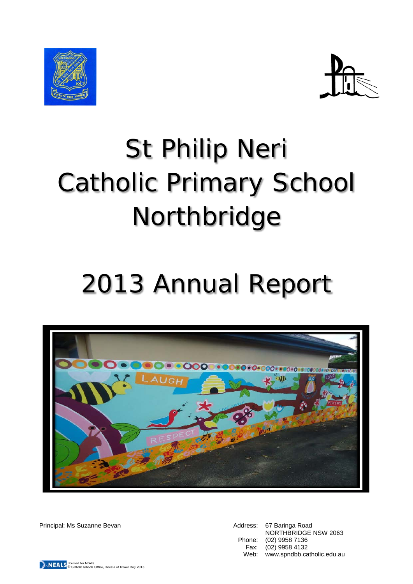



# St Philip Neri Catholic Primary School Northbridge

## 2013 Annual Report



Principal: Ms Suzanne Bevan Address: 67 Baringa Road

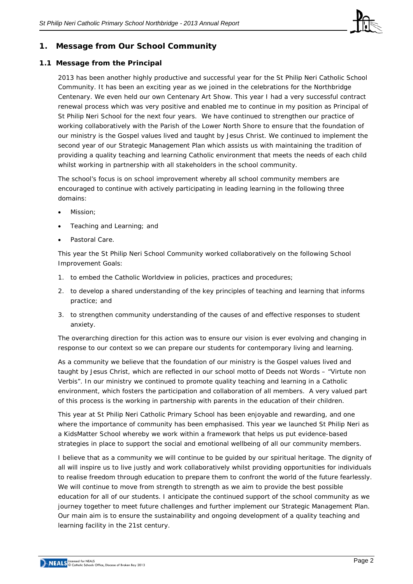

## **1. Message from Our School Community**

#### **1.1 Message from the Principal**

2013 has been another highly productive and successful year for the St Philip Neri Catholic School Community. It has been an exciting year as we joined in the celebrations for the Northbridge Centenary. We even held our own Centenary Art Show. This year I had a very successful contract renewal process which was very positive and enabled me to continue in my position as Principal of St Philip Neri School for the next four years. We have continued to strengthen our practice of working collaboratively with the Parish of the Lower North Shore to ensure that the foundation of our ministry is the Gospel values lived and taught by Jesus Christ. We continued to implement the second year of our Strategic Management Plan which assists us with maintaining the tradition of providing a quality teaching and learning Catholic environment that meets the needs of each child whilst working in partnership with all stakeholders in the school community.

The school's focus is on school improvement whereby all school community members are encouraged to continue with actively participating in leading learning in the following three domains:

- Mission:
- Teaching and Learning; and
- Pastoral Care.

This year the St Philip Neri School Community worked collaboratively on the following School Improvement Goals:

- 1. to embed the Catholic Worldview in policies, practices and procedures;
- 2. to develop a shared understanding of the key principles of teaching and learning that informs practice; and
- 3. to strengthen community understanding of the causes of and effective responses to student anxiety.

The overarching direction for this action was to ensure our vision is ever evolving and changing in response to our context so we can prepare our students for contemporary living and learning.

As a community we believe that the foundation of our ministry is the Gospel values lived and taught by Jesus Christ, which are reflected in our school motto of Deeds not Words – "Virtute non Verbis". In our ministry we continued to promote quality teaching and learning in a Catholic environment, which fosters the participation and collaboration of all members. A very valued part of this process is the working in partnership with parents in the education of their children.

This year at St Philip Neri Catholic Primary School has been enjoyable and rewarding, and one where the importance of community has been emphasised. This year we launched St Philip Neri as a KidsMatter School whereby we work within a [framework t](http://www.kidsmatter.edu.au/health-and-community/about-kidsmatter/kidsmatter-framework)hat helps us put [evidence-based](http://www.kidsmatter.edu.au/health-and-community/about-kidsmatter/kidsmatter-evidence-base)  strategies in place to support the social and emotional wellbeing of all our community members.

I believe that as a community we will continue to be guided by our spiritual heritage. The dignity of all will inspire us to live justly and work collaboratively whilst providing opportunities for individuals to realise freedom through education to prepare them to confront the world of the future fearlessly. We will continue to move from strength to strength as we aim to provide the best possible education for all of our students. I anticipate the continued support of the school community as we journey together to meet future challenges and further implement our Strategic Management Plan. Our main aim is to ensure the sustainability and ongoing development of a quality teaching and learning facility in the 21st century.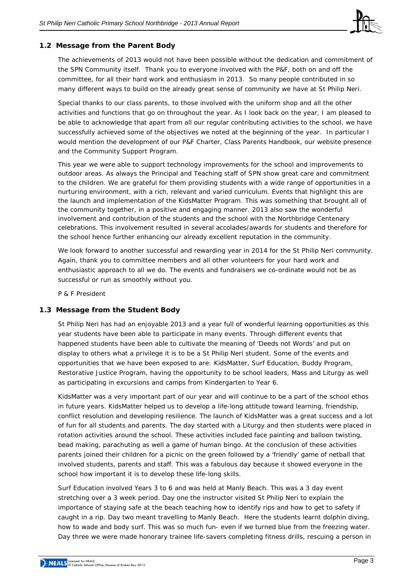

#### **1.2 Message from the Parent Body**

The achievements of 2013 would not have been possible without the dedication and commitment of the SPN Community itself. Thank you to everyone involved with the P&F, both on and off the committee, for all their hard work and enthusiasm in 2013. So many people contributed in so many different ways to build on the already great sense of community we have at St Philip Neri.

Special thanks to our class parents, to those involved with the uniform shop and all the other activities and functions that go on throughout the year. As I look back on the year, I am pleased to be able to acknowledge that apart from all our regular contributing activities to the school, we have successfully achieved some of the objectives we noted at the beginning of the year. In particular I would mention the development of our P&F Charter, Class Parents Handbook, our website presence and the Community Support Program.

This year we were able to support technology improvements for the school and improvements to outdoor areas. As always the Principal and Teaching staff of SPN show great care and commitment to the children. We are grateful for them providing students with a wide range of opportunities in a nurturing environment, with a rich, relevant and varied curriculum. Events that highlight this are the launch and implementation of the KidsMatter Program. This was something that brought all of the community together, in a positive and engaging manner. 2013 also saw the wonderful involvement and contribution of the students and the school with the Northbridge Centenary celebrations. This involvement resulted in several accolades/awards for students and therefore for the school hence further enhancing our already excellent reputation in the community.

We look forward to another successful and rewarding year in 2014 for the St Philip Neri community. Again, thank you to committee members and all other volunteers for your hard work and enthusiastic approach to all we do. The events and fundraisers we co-ordinate would not be as successful or run as smoothly without you.

*P & F President*

## **1.3 Message from the Student Body**

St Philip Neri has had an enjoyable 2013 and a year full of wonderful learning opportunities as this year students have been able to participate in many events. Through different events that happened students have been able to cultivate the meaning of 'Deeds not Words' and put on display to others what a privilege it is to be a St Philip Neri student. Some of the events and opportunities that we have been exposed to are: KidsMatter, Surf Education, Buddy Program, Restorative Justice Program, having the opportunity to be school leaders, Mass and Liturgy as well as participating in excursions and camps from Kindergarten to Year 6.

KidsMatter was a very important part of our year and will continue to be a part of the school ethos in future years. KidsMatter helped us to develop a life-long attitude toward learning, friendship, conflict resolution and developing resilience. The launch of KidsMatter was a great success and a lot of fun for all students and parents. The day started with a Liturgy and then students were placed in rotation activities around the school. These activities included face painting and balloon twisting, bead making, parachuting as well a game of human bingo. At the conclusion of these activities parents joined their children for a picnic on the green followed by a 'friendly' game of netball that involved students, parents and staff. This was a fabulous day because it showed everyone in the school how important it is to develop these life-long skills.

Surf Education involved Years 3 to 6 and was held at Manly Beach. This was a 3 day event stretching over a 3 week period. Day one the instructor visited St Philip Neri to explain the importance of staying safe at the beach teaching how to identify rips and how to get to safety if caught in a rip. Day two meant travelling to Manly Beach. Here the students learnt dolphin diving, how to wade and body surf. This was so much fun- even if we turned blue from the freezing water. Day three we were made honorary trainee life-savers completing fitness drills, rescuing a person in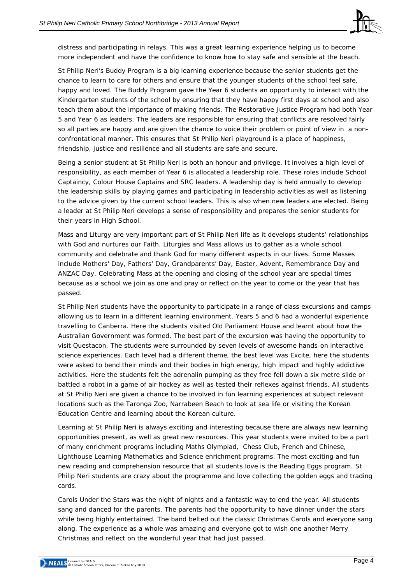

distress and participating in relays. This was a great learning experience helping us to become more independent and have the confidence to know how to stay safe and sensible at the beach.

St Philip Neri's Buddy Program is a big learning experience because the senior students get the chance to learn to care for others and ensure that the younger students of the school feel safe, happy and loved. The Buddy Program gave the Year 6 students an opportunity to interact with the Kindergarten students of the school by ensuring that they have happy first days at school and also teach them about the importance of making friends. The Restorative Justice Program had both Year 5 and Year 6 as leaders. The leaders are responsible for ensuring that conflicts are resolved fairly so all parties are happy and are given the chance to voice their problem or point of view in a nonconfrontational manner. This ensures that St Philip Neri playground is a place of happiness, friendship, justice and resilience and all students are safe and secure.

Being a senior student at St Philip Neri is both an honour and privilege. It involves a high level of responsibility, as each member of Year 6 is allocated a leadership role. These roles include School Captaincy, Colour House Captains and SRC leaders. A leadership day is held annually to develop the leadership skills by playing games and participating in leadership activities as well as listening to the advice given by the current school leaders. This is also when new leaders are elected. Being a leader at St Philip Neri develops a sense of responsibility and prepares the senior students for their years in High School.

Mass and Liturgy are very important part of St Philip Neri life as it develops students' relationships with God and nurtures our Faith. Liturgies and Mass allows us to gather as a whole school community and celebrate and thank God for many different aspects in our lives. Some Masses include Mothers' Day, Fathers' Day, Grandparents' Day, Easter, Advent, Remembrance Day and ANZAC Day. Celebrating Mass at the opening and closing of the school year are special times because as a school we join as one and pray or reflect on the year to come or the year that has passed.

St Philip Neri students have the opportunity to participate in a range of class excursions and camps allowing us to learn in a different learning environment. Years 5 and 6 had a wonderful experience travelling to Canberra. Here the students visited Old Parliament House and learnt about how the Australian Government was formed. The best part of the excursion was having the opportunity to visit Questacon. The students were surrounded by seven levels of awesome hands-on interactive science experiences. Each level had a different theme, the best level was Excite, here the students were asked to bend their minds and their bodies in high energy, high impact and highly addictive activities. Here the students felt the adrenalin pumping as they free fell down a six metre slide or battled a robot in a game of air hockey as well as tested their reflexes against friends. All students at St Philip Neri are given a chance to be involved in fun learning experiences at subject relevant locations such as the Taronga Zoo, Narrabeen Beach to look at sea life or visiting the Korean Education Centre and learning about the Korean culture.

Learning at St Philip Neri is always exciting and interesting because there are always new learning opportunities present, as well as great new resources. This year students were invited to be a part of many enrichment programs including Maths Olympiad, Chess Club, French and Chinese, Lighthouse Learning Mathematics and Science enrichment programs. The most exciting and fun new reading and comprehension resource that all students love is the Reading Eggs program. St Philip Neri students are crazy about the programme and love collecting the golden eggs and trading cards.

Carols Under the Stars was the night of nights and a fantastic way to end the year. All students sang and danced for the parents. The parents had the opportunity to have dinner under the stars while being highly entertained. The band belted out the classic Christmas Carols and everyone sang along. The experience as a whole was amazing and everyone got to wish one another Merry Christmas and reflect on the wonderful year that had just passed.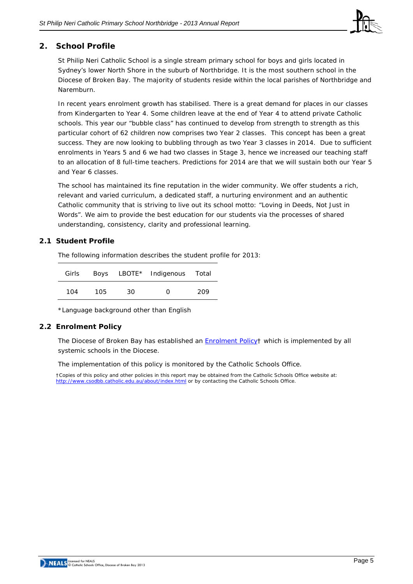

## **2. School Profile**

St Philip Neri Catholic School is a single stream primary school for boys and girls located in Sydney's lower North Shore in the suburb of Northbridge. It is the most southern school in the Diocese of Broken Bay. The majority of students reside within the local parishes of Northbridge and Naremburn.

In recent years enrolment growth has stabilised. There is a great demand for places in our classes from Kindergarten to Year 4. Some children leave at the end of Year 4 to attend private Catholic schools. This year our "bubble class" has continued to develop from strength to strength as this particular cohort of 62 children now comprises two Year 2 classes. This concept has been a great success. They are now looking to bubbling through as two Year 3 classes in 2014. Due to sufficient enrolments in Years 5 and 6 we had two classes in Stage 3, hence we increased our teaching staff to an allocation of 8 full-time teachers. Predictions for 2014 are that we will sustain both our Year 5 and Year 6 classes.

The school has maintained its fine reputation in the wider community. We offer students a rich, relevant and varied curriculum, a dedicated staff, a nurturing environment and an authentic Catholic community that is striving to live out its school motto: "Loving in Deeds, Not Just in Words". We aim to provide the best education for our students via the processes of shared understanding, consistency, clarity and professional learning.

#### **2.1 Student Profile**

The following information describes the student profile for 2013:

| Girls |     |    | Boys LBOTE* Indigenous Total |     |
|-------|-----|----|------------------------------|-----|
| 104   | 105 | 30 | ∩                            | 209 |

\*Language background other than English

#### **2.2 Enrolment Policy**

The Diocese of Broken Bay has established an **Enrolment Policy**† which is implemented by all systemic schools in the Diocese.

The implementation of this policy is monitored by the Catholic Schools Office.

†Copies of this policy and other policies in this report may be obtained from the Catholic Schools Office website at: <http://www.csodbb.catholic.edu.au/about/index.html> or by contacting the Catholic Schools Office.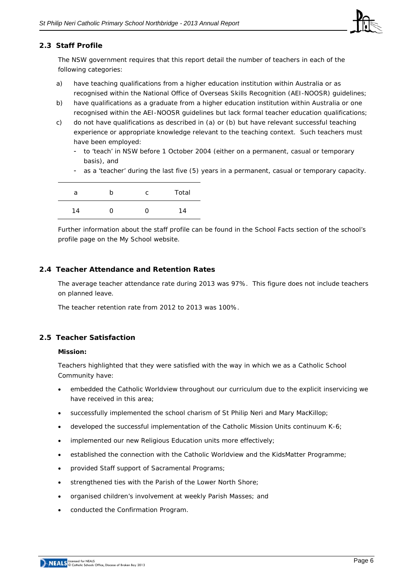

#### **2.3 Staff Profile**

The NSW government requires that this report detail the number of teachers in each of the following categories:

- a) have teaching qualifications from a higher education institution within Australia or as recognised within the National Office of Overseas Skills Recognition (AEI-NOOSR) guidelines;
- b) have qualifications as a graduate from a higher education institution within Australia or one recognised within the AEI-NOOSR guidelines but lack formal teacher education qualifications;
- c) do not have qualifications as described in (a) or (b) but have relevant successful teaching experience or appropriate knowledge relevant to the teaching context. Such teachers must have been employed:
	- to 'teach' in NSW before 1 October 2004 (either on a permanent, casual or temporary basis), and
	- as a 'teacher' during the last five (5) years in a permanent, casual or temporary capacity.

| a  | b | C | Total |
|----|---|---|-------|
| 14 | 0 | 0 | 14    |

Further information about the staff profile can be found in the School Facts section of the school's profile page on the *My School* website.

#### **2.4 Teacher Attendance and Retention Rates**

The average teacher attendance rate during 2013 was 97%. This figure does not include teachers on planned leave.

The teacher retention rate from 2012 to 2013 was 100%.

#### **2.5 Teacher Satisfaction**

#### **Mission:**

Teachers highlighted that they were satisfied with the way in which we as a Catholic School Community have:

- embedded the Catholic Worldview throughout our curriculum due to the explicit inservicing we have received in this area;
- successfully implemented the school charism of St Philip Neri and Mary MacKillop;
- developed the successful implementation of the Catholic Mission Units continuum K-6;
- implemented our new Religious Education units more effectively;
- established the connection with the Catholic Worldview and the KidsMatter Programme;
- provided Staff support of Sacramental Programs;
- strengthened ties with the Parish of the Lower North Shore;
- organised children's involvement at weekly Parish Masses; and
- conducted the Confirmation Program.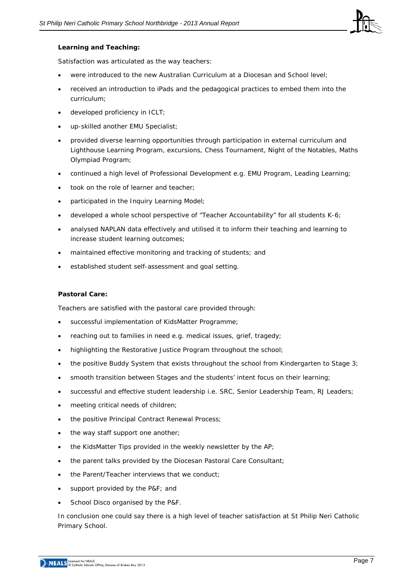

#### **Learning and Teaching:**

Satisfaction was articulated as the way teachers:

- were introduced to the new Australian Curriculum at a Diocesan and School level;
- received an introduction to iPads and the pedagogical practices to embed them into the curriculum;
- developed proficiency in ICLT;
- up-skilled another EMU Specialist;
- provided diverse learning opportunities through participation in external curriculum and Lighthouse Learning Program, excursions, Chess Tournament, Night of the Notables, Maths Olympiad Program;
- continued a high level of Professional Development e.g. EMU Program, Leading Learning;
- took on the role of learner and teacher;
- participated in the Inquiry Learning Model;
- developed a whole school perspective of "Teacher Accountability" for all students K-6;
- analysed NAPLAN data effectively and utilised it to inform their teaching and learning to increase student learning outcomes;
- maintained effective monitoring and tracking of students; and
- established student self-assessment and goal setting.

#### **Pastoral Care:**

Teachers are satisfied with the pastoral care provided through:

- successful implementation of KidsMatter Programme;
- reaching out to families in need e.g. medical issues, grief, tragedy;
- highlighting the Restorative Justice Program throughout the school;
- the positive Buddy System that exists throughout the school from Kindergarten to Stage 3;
- smooth transition between Stages and the students' intent focus on their learning;
- successful and effective student leadership i.e. SRC, Senior Leadership Team, RJ Leaders;
- meeting critical needs of children;
- the positive Principal Contract Renewal Process;
- the way staff support one another;
- the KidsMatter Tips provided in the weekly newsletter by the AP;
- the parent talks provided by the Diocesan Pastoral Care Consultant;
- the Parent/Teacher interviews that we conduct;
- support provided by the P&F; and
- School Disco organised by the P&F.

In conclusion one could say there is a high level of teacher satisfaction at St Philip Neri Catholic Primary School.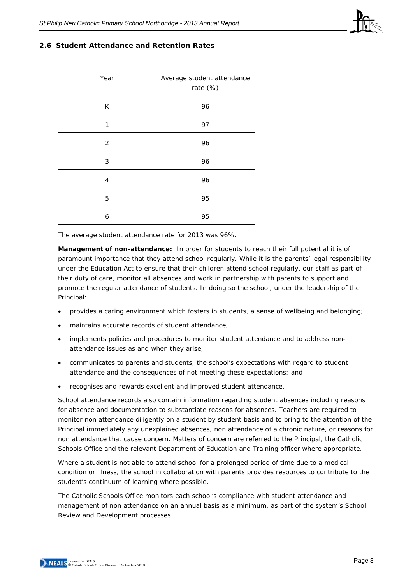

#### **2.6 Student Attendance and Retention Rates**

| Year           | Average student attendance<br>rate (%) |  |  |
|----------------|----------------------------------------|--|--|
| K              | 96                                     |  |  |
| 1              | 97                                     |  |  |
| $\overline{2}$ | 96                                     |  |  |
| 3              | 96                                     |  |  |
| 4              | 96                                     |  |  |
| 5              | 95                                     |  |  |
| 6              | 95                                     |  |  |

The average student attendance rate for 2013 was 96%.

**Management of non-attendance:** In order for students to reach their full potential it is of paramount importance that they attend school regularly. While it is the parents' legal responsibility under the Education Act to ensure that their children attend school regularly, our staff as part of their duty of care, monitor all absences and work in partnership with parents to support and promote the regular attendance of students. In doing so the school, under the leadership of the Principal:

- provides a caring environment which fosters in students, a sense of wellbeing and belonging;
- maintains accurate records of student attendance;
- implements policies and procedures to monitor student attendance and to address nonattendance issues as and when they arise;
- communicates to parents and students, the school's expectations with regard to student attendance and the consequences of not meeting these expectations; and
- recognises and rewards excellent and improved student attendance.

School attendance records also contain information regarding student absences including reasons for absence and documentation to substantiate reasons for absences. Teachers are required to monitor non attendance diligently on a student by student basis and to bring to the attention of the Principal immediately any unexplained absences, non attendance of a chronic nature, or reasons for non attendance that cause concern. Matters of concern are referred to the Principal, the Catholic Schools Office and the relevant Department of Education and Training officer where appropriate.

Where a student is not able to attend school for a prolonged period of time due to a medical condition or illness, the school in collaboration with parents provides resources to contribute to the student's continuum of learning where possible.

The Catholic Schools Office monitors each school's compliance with student attendance and management of non attendance on an annual basis as a minimum, as part of the system's School Review and Development processes.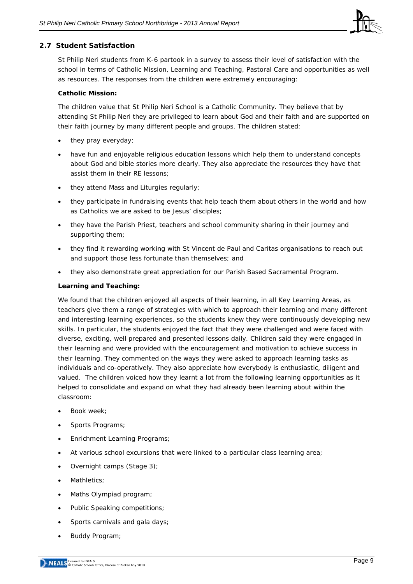

## **2.7 Student Satisfaction**

St Philip Neri students from K-6 partook in a survey to assess their level of satisfaction with the school in terms of Catholic Mission, Learning and Teaching, Pastoral Care and opportunities as well as resources. The responses from the children were extremely encouraging:

#### **Catholic Mission:**

The children value that St Philip Neri School is a Catholic Community. They believe that by attending St Philip Neri they are privileged to learn about God and their faith and are supported on their faith journey by many different people and groups. The children stated:

- they pray everyday;
- have fun and enjoyable religious education lessons which help them to understand concepts about God and bible stories more clearly. They also appreciate the resources they have that assist them in their RE lessons;
- they attend Mass and Liturgies regularly;
- they participate in fundraising events that help teach them about others in the world and how as Catholics we are asked to be Jesus' disciples;
- they have the Parish Priest, teachers and school community sharing in their journey and supporting them;
- they find it rewarding working with St Vincent de Paul and Caritas organisations to reach out and support those less fortunate than themselves; and
- they also demonstrate great appreciation for our Parish Based Sacramental Program.

#### **Learning and Teaching:**

We found that the children enjoyed all aspects of their learning, in all Key Learning Areas, as teachers give them a range of strategies with which to approach their learning and many different and interesting learning experiences, so the students knew they were continuously developing new skills. In particular, the students enjoyed the fact that they were challenged and were faced with diverse, exciting, well prepared and presented lessons daily. Children said they were engaged in their learning and were provided with the encouragement and motivation to achieve success in their learning. They commented on the ways they were asked to approach learning tasks as individuals and co-operatively. They also appreciate how everybody is enthusiastic, diligent and valued. The children voiced how they learnt a lot from the following learning opportunities as it helped to consolidate and expand on what they had already been learning about within the classroom:

- Book week:
- Sports Programs;
- Enrichment Learning Programs;
- At various school excursions that were linked to a particular class learning area;
- Overnight camps (Stage 3);
- Mathletics:
- Maths Olympiad program;
- Public Speaking competitions:
- Sports carnivals and gala days;
- Buddy Program;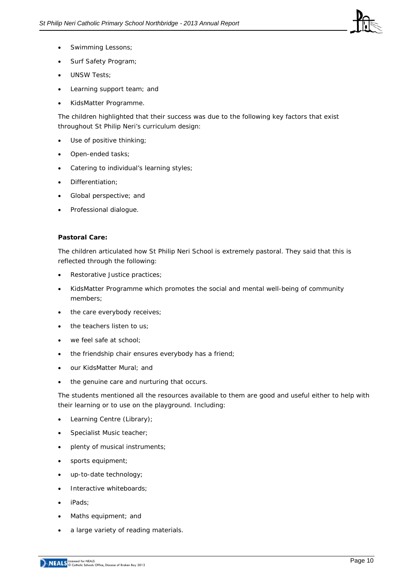

- Swimming Lessons;
- Surf Safety Program;
- UNSW Tests;
- Learning support team; and
- KidsMatter Programme.

The children highlighted that their success was due to the following key factors that exist throughout St Philip Neri's curriculum design:

- Use of positive thinking;
- Open-ended tasks;
- Catering to individual's learning styles;
- Differentiation;
- Global perspective; and
- Professional dialogue.

#### **Pastoral Care:**

The children articulated how St Philip Neri School is extremely pastoral. They said that this is reflected through the following:

- Restorative Justice practices;
- KidsMatter Programme which promotes the social and mental well-being of community members;
- the care everybody receives;
- the teachers listen to us;
- we feel safe at school:
- the friendship chair ensures everybody has a friend;
- our KidsMatter Mural; and
- the genuine care and nurturing that occurs.

The students mentioned all the resources available to them are good and useful either to help with their learning or to use on the playground. Including:

- Learning Centre (Library);
- Specialist Music teacher;
- plenty of musical instruments;
- sports equipment;
- up-to-date technology;
- Interactive whiteboards;
- iPads;
- Maths equipment; and
- a large variety of reading materials.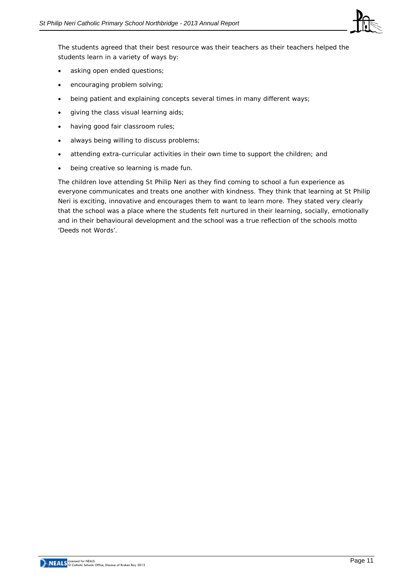

The students agreed that their best resource was their teachers as their teachers helped the students learn in a variety of ways by:

- asking open ended questions;
- encouraging problem solving;
- being patient and explaining concepts several times in many different ways;
- giving the class visual learning aids;
- having good fair classroom rules;
- always being willing to discuss problems;
- attending extra-curricular activities in their own time to support the children; and
- being creative so learning is made fun.

The children love attending St Philip Neri as they find coming to school a fun experience as everyone communicates and treats one another with kindness. They think that learning at St Philip Neri is exciting, innovative and encourages them to want to learn more. They stated very clearly that the school was a place where the students felt nurtured in their learning, socially, emotionally and in their behavioural development and the school was a true reflection of the schools motto 'Deeds not Words'.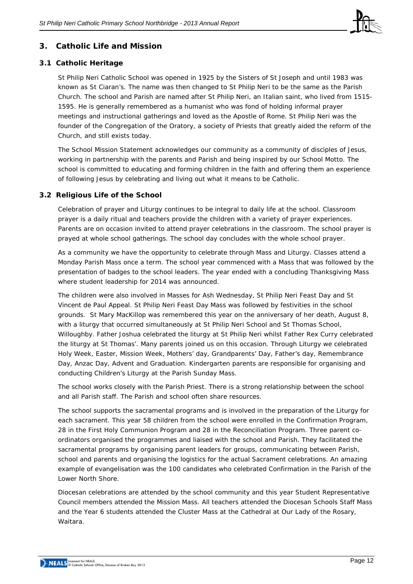

## **3. Catholic Life and Mission**

## **3.1 Catholic Heritage**

St Philip Neri Catholic School was opened in 1925 by the Sisters of St Joseph and until 1983 was known as St Ciaran's. The name was then changed to St Philip Neri to be the same as the Parish Church. The school and Parish are named after St Philip Neri, an Italian saint, who lived from 1515- 1595. He is generally remembered as a humanist who was fond of holding informal prayer meetings and instructional gatherings and loved as the Apostle of Rome. St Philip Neri was the founder of the Congregation of the Oratory, a society of Priests that greatly aided the reform of the Church, and still exists today.

The School Mission Statement acknowledges our community as a community of disciples of Jesus, working in partnership with the parents and Parish and being inspired by our School Motto. The school is committed to educating and forming children in the faith and offering them an experience of following Jesus by celebrating and living out what it means to be Catholic.

## **3.2 Religious Life of the School**

Celebration of prayer and Liturgy continues to be integral to daily life at the school. Classroom prayer is a daily ritual and teachers provide the children with a variety of prayer experiences. Parents are on occasion invited to attend prayer celebrations in the classroom. The school prayer is prayed at whole school gatherings. The school day concludes with the whole school prayer.

As a community we have the opportunity to celebrate through Mass and Liturgy. Classes attend a Monday Parish Mass once a term. The school year commenced with a Mass that was followed by the presentation of badges to the school leaders. The year ended with a concluding Thanksgiving Mass where student leadership for 2014 was announced.

The children were also involved in Masses for Ash Wednesday, St Philip Neri Feast Day and St Vincent de Paul Appeal. St Philip Neri Feast Day Mass was followed by festivities in the school grounds. St Mary MacKillop was remembered this year on the anniversary of her death, August 8, with a liturgy that occurred simultaneously at St Philip Neri School and St Thomas School, Willoughby. Father Joshua celebrated the liturgy at St Philip Neri whilst Father Rex Curry celebrated the liturgy at St Thomas'. Many parents joined us on this occasion. Through Liturgy we celebrated Holy Week, Easter, Mission Week, Mothers' day, Grandparents' Day, Father's day, Remembrance Day, Anzac Day, Advent and Graduation. Kindergarten parents are responsible for organising and conducting Children's Liturgy at the Parish Sunday Mass.

The school works closely with the Parish Priest. There is a strong relationship between the school and all Parish staff. The Parish and school often share resources.

The school supports the sacramental programs and is involved in the preparation of the Liturgy for each sacrament. This year 58 children from the school were enrolled in the Confirmation Program, 28 in the First Holy Communion Program and 28 in the Reconciliation Program. Three parent coordinators organised the programmes and liaised with the school and Parish. They facilitated the sacramental programs by organising parent leaders for groups, communicating between Parish, school and parents and organising the logistics for the actual Sacrament celebrations. An amazing example of evangelisation was the 100 candidates who celebrated Confirmation in the Parish of the Lower North Shore.

Diocesan celebrations are attended by the school community and this year Student Representative Council members attended the Mission Mass. All teachers attended the Diocesan Schools Staff Mass and the Year 6 students attended the Cluster Mass at the Cathedral at Our Lady of the Rosary, Waitara.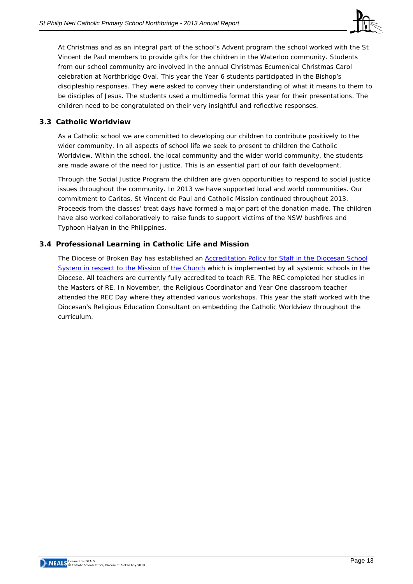

At Christmas and as an integral part of the school's Advent program the school worked with the St Vincent de Paul members to provide gifts for the children in the Waterloo community. Students from our school community are involved in the annual Christmas Ecumenical Christmas Carol celebration at Northbridge Oval. This year the Year 6 students participated in the Bishop's discipleship responses. They were asked to convey their understanding of what it means to them to be disciples of Jesus. The students used a multimedia format this year for their presentations. The children need to be congratulated on their very insightful and reflective responses.

#### **3.3 Catholic Worldview**

As a Catholic school we are committed to developing our children to contribute positively to the wider community. In all aspects of school life we seek to present to children the Catholic Worldview. Within the school, the local community and the wider world community, the students are made aware of the need for justice. This is an essential part of our faith development.

Through the Social Justice Program the children are given opportunities to respond to social justice issues throughout the community. In 2013 we have supported local and world communities. Our commitment to Caritas, St Vincent de Paul and Catholic Mission continued throughout 2013. Proceeds from the classes' treat days have formed a major part of the donation made. The children have also worked collaboratively to raise funds to support victims of the NSW bushfires and Typhoon Haiyan in the Philippines.

## **3.4 Professional Learning in Catholic Life and Mission**

The Diocese of Broken Bay has established an [Accreditation Policy for Staff in the Diocesan School](http://www.csodbb.catholic.edu.au/_uploads/rsfil/001129_cfba.pdf)  [System in respect to the Mission of the Church](http://www.csodbb.catholic.edu.au/_uploads/rsfil/001129_cfba.pdf) which is implemented by all systemic schools in the Diocese. All teachers are currently fully accredited to teach RE. The REC completed her studies in the Masters of RE. In November, the Religious Coordinator and Year One classroom teacher attended the REC Day where they attended various workshops. This year the staff worked with the Diocesan's Religious Education Consultant on embedding the Catholic Worldview throughout the curriculum.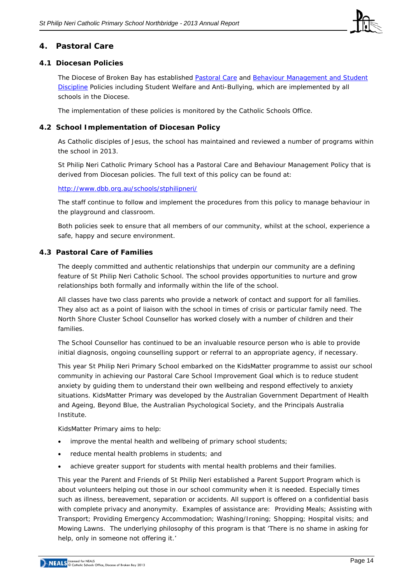

### **4. Pastoral Care**

#### **4.1 Diocesan Policies**

The Diocese of Broken Bay has established [Pastoral Care](http://www.csodbb.catholic.edu.au/_uploads/rsfil/002274_ceac.pdf) and Behaviour Management and Student [Discipline](http://www.csodbb.catholic.edu.au/_uploads/rsfil/001133_cffd.pdf) Policies including Student Welfare and Anti-Bullying, which are implemented by all schools in the Diocese.

The implementation of these policies is monitored by the Catholic Schools Office.

#### **4.2 School Implementation of Diocesan Policy**

As Catholic disciples of Jesus, the school has maintained and reviewed a number of programs within the school in 2013.

St Philip Neri Catholic Primary School has a Pastoral Care and Behaviour Management Policy that is derived from Diocesan policies. The full text of this policy can be found at:

#### <http://www.dbb.org.au/schools/stphilipneri/>

The staff continue to follow and implement the procedures from this policy to manage behaviour in the playground and classroom.

Both policies seek to ensure that all members of our community, whilst at the school, experience a safe, happy and secure environment.

#### **4.3 Pastoral Care of Families**

The deeply committed and authentic relationships that underpin our community are a defining feature of St Philip Neri Catholic School. The school provides opportunities to nurture and grow relationships both formally and informally within the life of the school.

All classes have two class parents who provide a network of contact and support for all families. They also act as a point of liaison with the school in times of crisis or particular family need. The North Shore Cluster School Counsellor has worked closely with a number of children and their families.

The School Counsellor has continued to be an invaluable resource person who is able to provide initial diagnosis, ongoing counselling support or referral to an appropriate agency, if necessary.

This year St Philip Neri Primary School embarked on the KidsMatter programme to assist our school community in achieving our Pastoral Care School Improvement Goal which is to reduce student anxiety by guiding them to understand their own wellbeing and respond effectively to anxiety situations. KidsMatter Primary was developed by the Australian Government Department of Health and Ageing, Beyond Blue, the Australian Psychological Society, and the Principals Australia Institute.

KidsMatter Primary aims to help:

- improve the mental health and wellbeing of primary school students;
- reduce mental health problems in students; and
- achieve greater support for students with mental health problems and their families.

This year the Parent and Friends of St Philip Neri established a Parent Support Program which is about volunteers helping out those in our school community when it is needed. Especially times such as illness, bereavement, separation or accidents. All support is offered on a confidential basis with complete privacy and anonymity. Examples of assistance are: Providing Meals; Assisting with Transport; Providing Emergency Accommodation; Washing/Ironing; Shopping; Hospital visits; and Mowing Lawns. The underlying philosophy of this program is that 'There is no shame in asking for help, only in someone not offering it.'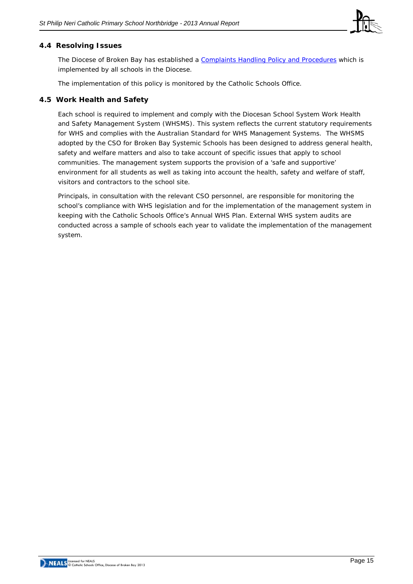

#### **4.4 Resolving Issues**

The Diocese of Broken Bay has established a [Complaints Handling Policy](http://www.csodbb.catholic.edu.au/_uploads/rsfil/001134_ceae.pdf) and Procedures which is implemented by all schools in the Diocese.

The implementation of this policy is monitored by the Catholic Schools Office.

#### **4.5 Work Health and Safety**

Each school is required to implement and comply with the Diocesan School System Work Health and Safety Management System (WHSMS). This system reflects the current statutory requirements for WHS and complies with the Australian Standard for WHS Management Systems. The WHSMS adopted by the CSO for Broken Bay Systemic Schools has been designed to address general health, safety and welfare matters and also to take account of specific issues that apply to school communities. The management system supports the provision of a 'safe and supportive' environment for all students as well as taking into account the health, safety and welfare of staff, visitors and contractors to the school site.

Principals, in consultation with the relevant CSO personnel, are responsible for monitoring the school's compliance with WHS legislation and for the implementation of the management system in keeping with the Catholic Schools Office's Annual WHS Plan. External WHS system audits are conducted across a sample of schools each year to validate the implementation of the management system.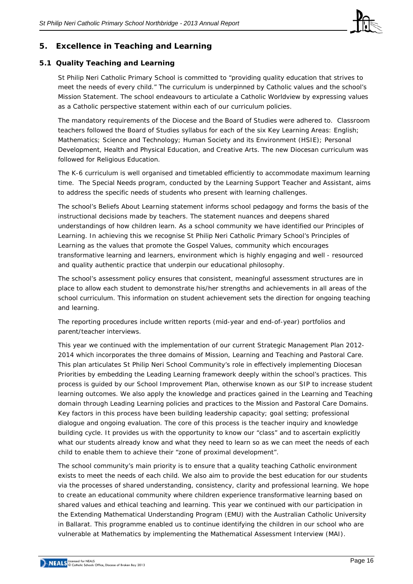

## **5. Excellence in Teaching and Learning**

#### **5.1 Quality Teaching and Learning**

St Philip Neri Catholic Primary School is committed to "providing quality education that strives to meet the needs of every child." The curriculum is underpinned by Catholic values and the school's Mission Statement. The school endeavours to articulate a Catholic Worldview by expressing values as a Catholic perspective statement within each of our curriculum policies.

The mandatory requirements of the Diocese and the Board of Studies were adhered to. Classroom teachers followed the Board of Studies syllabus for each of the six Key Learning Areas: English; Mathematics; Science and Technology; Human Society and its Environment (HSIE); Personal Development, Health and Physical Education, and Creative Arts. The new Diocesan curriculum was followed for Religious Education.

The K-6 curriculum is well organised and timetabled efficiently to accommodate maximum learning time. The Special Needs program, conducted by the Learning Support Teacher and Assistant, aims to address the specific needs of students who present with learning challenges.

The school's Beliefs About Learning statement informs school pedagogy and forms the basis of the instructional decisions made by teachers. The statement nuances and deepens shared understandings of how children learn. As a school community we have identified our Principles of Learning. In achieving this we recognise St Philip Neri Catholic Primary School's Principles of Learning as the values that promote the Gospel Values, community which encourages transformative learning and learners, environment which is highly engaging and well - resourced and quality authentic practice that underpin our educational philosophy.

The school's assessment policy ensures that consistent, meaningful assessment structures are in place to allow each student to demonstrate his/her strengths and achievements in all areas of the school curriculum. This information on student achievement sets the direction for ongoing teaching and learning.

The reporting procedures include written reports (mid-year and end-of-year) portfolios and parent/teacher interviews.

This year we continued with the implementation of our current Strategic Management Plan 2012- 2014 which incorporates the three domains of Mission, Learning and Teaching and Pastoral Care. This plan articulates St Philip Neri School Community's role in effectively implementing Diocesan Priorities by embedding the Leading Learning framework deeply within the school's practices. This process is guided by our School Improvement Plan, otherwise known as our SIP to increase student learning outcomes. We also apply the knowledge and practices gained in the Learning and Teaching domain through Leading Learning policies and practices to the Mission and Pastoral Care Domains. Key factors in this process have been building leadership capacity; goal setting; professional dialogue and ongoing evaluation. The core of this process is the teacher inquiry and knowledge building cycle. It provides us with the opportunity to know our "class" and to ascertain explicitly what our students already know and what they need to learn so as we can meet the needs of each child to enable them to achieve their "zone of proximal development".

The school community's main priority is to ensure that a quality teaching Catholic environment exists to meet the needs of each child. We also aim to provide the best education for our students via the processes of shared understanding, consistency, clarity and professional learning. We hope to create an educational community where children experience transformative learning based on shared values and ethical teaching and learning. This year we continued with our participation in the Extending Mathematical Understanding Program (EMU) with the Australian Catholic University in Ballarat. This programme enabled us to continue identifying the children in our school who are vulnerable at Mathematics by implementing the Mathematical Assessment Interview (MAI).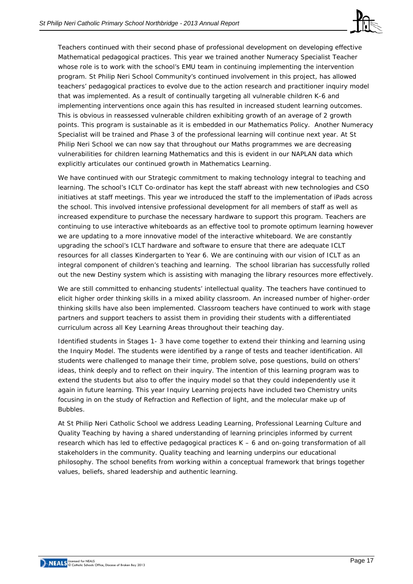

Teachers continued with their second phase of professional development on developing effective Mathematical pedagogical practices. This year we trained another Numeracy Specialist Teacher whose role is to work with the school's EMU team in continuing implementing the intervention program. St Philip Neri School Community's continued involvement in this project, has allowed teachers' pedagogical practices to evolve due to the action research and practitioner inquiry model that was implemented. As a result of continually targeting all vulnerable children K-6 and implementing interventions once again this has resulted in increased student learning outcomes. This is obvious in reassessed vulnerable children exhibiting growth of an average of 2 growth points. This program is sustainable as it is embedded in our Mathematics Policy. Another Numeracy Specialist will be trained and Phase 3 of the professional learning will continue next year. At St Philip Neri School we can now say that throughout our Maths programmes we are decreasing vulnerabilities for children learning Mathematics and this is evident in our NAPLAN data which explicitly articulates our continued growth in Mathematics Learning.

We have continued with our Strategic commitment to making technology integral to teaching and learning. The school's ICLT Co-ordinator has kept the staff abreast with new technologies and CSO initiatives at staff meetings. This year we introduced the staff to the implementation of iPads across the school. This involved intensive professional development for all members of staff as well as increased expenditure to purchase the necessary hardware to support this program. Teachers are continuing to use interactive whiteboards as an effective tool to promote optimum learning however we are updating to a more innovative model of the interactive whiteboard. We are constantly upgrading the school's ICLT hardware and software to ensure that there are adequate ICLT resources for all classes Kindergarten to Year 6. We are continuing with our vision of ICLT as an integral component of children's teaching and learning. The school librarian has successfully rolled out the new Destiny system which is assisting with managing the library resources more effectively.

We are still committed to enhancing students' intellectual quality. The teachers have continued to elicit higher order thinking skills in a mixed ability classroom. An increased number of higher-order thinking skills have also been implemented. Classroom teachers have continued to work with stage partners and support teachers to assist them in providing their students with a differentiated curriculum across all Key Learning Areas throughout their teaching day.

Identified students in Stages 1- 3 have come together to extend their thinking and learning using the Inquiry Model. The students were identified by a range of tests and teacher identification. All students were challenged to manage their time, problem solve, pose questions, build on others' ideas, think deeply and to reflect on their inquiry. The intention of this learning program was to extend the students but also to offer the inquiry model so that they could independently use it again in future learning. This year Inquiry Learning projects have included two Chemistry units focusing in on the study of Refraction and Reflection of light, and the molecular make up of Bubbles.

At St Philip Neri Catholic School we address Leading Learning, Professional Learning Culture and Quality Teaching by having a shared understanding of learning principles informed by current research which has led to effective pedagogical practices K – 6 and on-going transformation of all stakeholders in the community. Quality teaching and learning underpins our educational philosophy. The school benefits from working within a conceptual framework that brings together values, beliefs, shared leadership and authentic learning.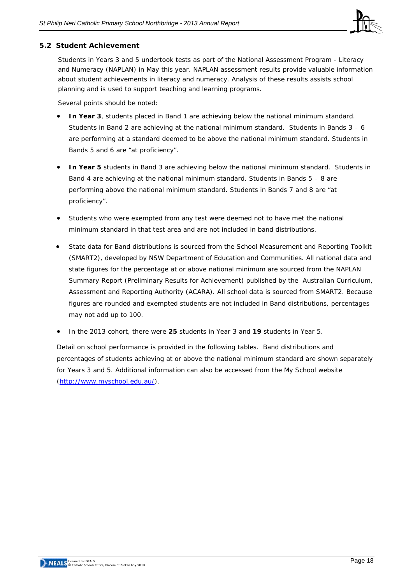

#### **5.2 Student Achievement**

Students in Years 3 and 5 undertook tests as part of the *National Assessment Program - Literacy and Numeracy* (NAPLAN) in May this year. NAPLAN assessment results provide valuable information about student achievements in literacy and numeracy. Analysis of these results assists school planning and is used to support teaching and learning programs.

Several points should be noted:

- **In Year 3**, students placed in Band 1 are achieving below the national minimum standard. Students in Band 2 are achieving at the national minimum standard. Students in Bands  $3 - 6$ are performing at a standard deemed to be above the national minimum standard. Students in Bands 5 and 6 are "at proficiency".
- **In Year 5** students in Band 3 are achieving below the national minimum standard. Students in Band 4 are achieving at the national minimum standard. Students in Bands 5 – 8 are performing above the national minimum standard. Students in Bands 7 and 8 are "at proficiency".
- Students who were exempted from any test were deemed not to have met the national minimum standard in that test area and are not included in band distributions.
- State data for Band distributions is sourced from the School Measurement and Reporting Toolkit (SMART2), developed by NSW Department of Education and Communities. All national data and state figures for the percentage at or above national minimum are sourced from the NAPLAN Summary Report (Preliminary Results for Achievement) published by the Australian Curriculum, Assessment and Reporting Authority (ACARA). All school data is sourced from SMART2. Because figures are rounded and exempted students are not included in Band distributions, percentages may not add up to 100.
- In the 2013 cohort, there were **25** students in Year 3 and **19** students in Year 5.

Detail on school performance is provided in the following tables. Band distributions and percentages of students achieving at or above the national minimum standard are shown separately for Years 3 and 5. Additional information can also be accessed from the *My School* website [\(http://www.myschool.edu.au/\)](http://www.myschool.edu.au/).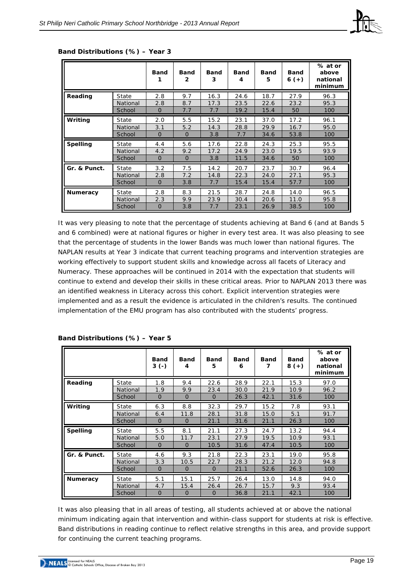|                 |          | <b>Band</b>    | <b>Band</b><br>$\mathbf{2}$ | <b>Band</b><br>3 | <b>Band</b><br>4 | <b>Band</b><br>5 | <b>Band</b><br>$6 (+)$ | % at or<br>above<br>national<br>minimum |
|-----------------|----------|----------------|-----------------------------|------------------|------------------|------------------|------------------------|-----------------------------------------|
| Reading         | State    | 2.8            | 9.7                         | 16.3             | 24.6             | 18.7             | 27.9                   | 96.3                                    |
|                 | National | 2.8            | 8.7                         | 17.3             | 23.5             | 22.6             | 23.2                   | 95.3                                    |
|                 | School   | $\Omega$       | 7.7                         | 7.7              | 19.2             | 15.4             | 50                     | 100                                     |
| Writing         | State    | 2.0            | 5.5                         | 15.2             | 23.1             | 37.0             | 17.2                   | 96.1                                    |
|                 | National | 3.1            | 5.2                         | 14.3             | 28.8             | 29.9             | 16.7                   | 95.0                                    |
|                 | School   | $\Omega$       | $\Omega$                    | 3.8              | 7.7              | 34.6             | 53.8                   | 100                                     |
| <b>Spelling</b> | State    | 4.4            | 5.6                         | 17.6             | 22.8             | 24.3             | 25.3                   | 95.5                                    |
|                 | National | 4.2            | 9.2                         | 17.2             | 24.9             | 23.0             | 19.5                   | 93.9                                    |
|                 | School   | $\Omega$       | $\overline{0}$              | 3.8              | 11.5             | 34.6             | 50                     | 100                                     |
| Gr. & Punct.    | State    | 3.2            | 7.5                         | 14.2             | 20.7             | 23.7             | 30.7                   | 96.4                                    |
|                 | National | 2.8            | 7.2                         | 14.8             | 22.3             | 24.0             | 27.1                   | 95.3                                    |
|                 | School   | $\overline{0}$ | 3.8                         | 7.7              | 15.4             | 15.4             | 57.7                   | 100                                     |
| <b>Numeracy</b> | State    | 2.8            | 8.3                         | 21.5             | 28.7             | 24.8             | 14.0                   | 96.5                                    |
|                 | National | 2.3            | 9.9                         | 23.9             | 30.4             | 20.6             | 11.0                   | 95.8                                    |
|                 | School   | $\Omega$       | 3.8                         | 7.7              | 23.1             | 26.9             | 38.5                   | 100                                     |

#### **Band Distributions (%) – Year 3**

It was very pleasing to note that the percentage of students achieving at Band 6 (and at Bands 5 and 6 combined) were at national figures or higher in every test area. It was also pleasing to see that the percentage of students in the lower Bands was much lower than national figures. The NAPLAN results at Year 3 indicate that current teaching programs and intervention strategies are working effectively to support student skills and knowledge across all facets of Literacy and Numeracy. These approaches will be continued in 2014 with the expectation that students will continue to extend and develop their skills in these critical areas. Prior to NAPLAN 2013 there was an identified weakness in Literacy across this cohort. Explicit intervention strategies were implemented and as a result the evidence is articulated in the children's results. The continued implementation of the EMU program has also contributed with the students' progress.

|                 |          | <b>Band</b><br>$3( - )$ | <b>Band</b><br>4 | <b>Band</b><br>5 | <b>Band</b><br>6 | <b>Band</b><br>7 | <b>Band</b><br>$8 (+)$ | % at or<br>above<br>national<br>minimum |
|-----------------|----------|-------------------------|------------------|------------------|------------------|------------------|------------------------|-----------------------------------------|
| Reading         | State    | 1.8                     | 9.4              | 22.6             | 28.9             | 22.1             | 15.3                   | 97.0                                    |
|                 | National | 1.9                     | 9.9              | 23.4             | 30.0             | 21.9             | 10.9                   | 96.2                                    |
|                 | School   | $\overline{0}$          | $\overline{0}$   | $\Omega$         | 26.3             | 42.1             | 31.6                   | 100                                     |
| Writing         | State    | 6.3                     | 8.8              | 32.3             | 29.7             | 15.2             | 7.8                    | 93.1                                    |
|                 | National | 6.4                     | 11.8             | 28.1             | 31.8             | 15.0             | 5.1                    | 91.7                                    |
|                 | School   | $\Omega$                | $\overline{0}$   | 21.1             | 31.6             | 21.1             | 26.3                   | 100                                     |
| <b>Spelling</b> | State    | 5.5                     | 8.1              | 21.1             | 27.3             | 24.7             | 13.2                   | 94.4                                    |
|                 | National | 5.0                     | 11.7             | 23.1             | 27.9             | 19.5             | 10.9                   | 93.1                                    |
|                 | School   | $\overline{0}$          | $\overline{0}$   | 10.5             | 31.6             | 47.4             | 10.5                   | 100                                     |
| Gr. & Punct.    | State    | 4.6                     | 9.3              | 21.8             | 22.3             | 23.1             | 19.0                   | 95.8                                    |
|                 | National | 3.3                     | 10.5             | 22.7             | 28.3             | 21.2             | 12.0                   | 94.8                                    |
|                 | School   | $\overline{0}$          | $\overline{0}$   | $\Omega$         | 21.1             | 52.6             | 26.3                   | 100                                     |
| <b>Numeracy</b> | State    | 5.1                     | 15.1             | 25.7             | 26.4             | 13.0             | 14.8                   | 94.0                                    |
|                 | National | 4.7                     | 15.4             | 26.4             | 26.7             | 15.7             | 9.3                    | 93.4                                    |
|                 | School   | $\Omega$                | $\Omega$         | $\Omega$         | 36.8             | 21.1             | 42.1                   | 100                                     |

#### **Band Distributions (%) – Year 5**

It was also pleasing that in all areas of testing, all students achieved at or above the national minimum indicating again that intervention and within-class support for students at risk is effective. Band distributions in reading continue to reflect relative strengths in this area, and provide support for continuing the current teaching programs.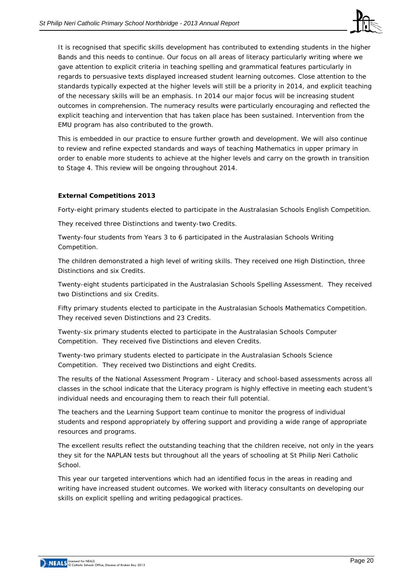

It is recognised that specific skills development has contributed to extending students in the higher Bands and this needs to continue. Our focus on all areas of literacy particularly writing where we gave attention to explicit criteria in teaching spelling and grammatical features particularly in regards to persuasive texts displayed increased student learning outcomes. Close attention to the standards typically expected at the higher levels will still be a priority in 2014, and explicit teaching of the necessary skills will be an emphasis. In 2014 our major focus will be increasing student outcomes in comprehension. The numeracy results were particularly encouraging and reflected the explicit teaching and intervention that has taken place has been sustained. Intervention from the EMU program has also contributed to the growth.

This is embedded in our practice to ensure further growth and development. We will also continue to review and refine expected standards and ways of teaching Mathematics in upper primary in order to enable more students to achieve at the higher levels and carry on the growth in transition to Stage 4. This review will be ongoing throughout 2014.

#### **External Competitions 2013**

Forty-eight primary students elected to participate in the Australasian Schools English Competition.

They received three Distinctions and twenty-two Credits.

Twenty-four students from Years 3 to 6 participated in the Australasian Schools Writing Competition.

The children demonstrated a high level of writing skills. They received one High Distinction, three Distinctions and six Credits.

Twenty-eight students participated in the Australasian Schools Spelling Assessment. They received two Distinctions and six Credits.

Fifty primary students elected to participate in the Australasian Schools Mathematics Competition. They received seven Distinctions and 23 Credits.

Twenty-six primary students elected to participate in the Australasian Schools Computer Competition. They received five Distinctions and eleven Credits.

Twenty-two primary students elected to participate in the Australasian Schools Science Competition. They received two Distinctions and eight Credits.

The results of the National Assessment Program - Literacy and school-based assessments across all classes in the school indicate that the Literacy program is highly effective in meeting each student's individual needs and encouraging them to reach their full potential.

The teachers and the Learning Support team continue to monitor the progress of individual students and respond appropriately by offering support and providing a wide range of appropriate resources and programs.

The excellent results reflect the outstanding teaching that the children receive, not only in the years they sit for the NAPLAN tests but throughout all the years of schooling at St Philip Neri Catholic School.

This year our targeted interventions which had an identified focus in the areas in reading and writing have increased student outcomes. We worked with literacy consultants on developing our skills on explicit spelling and writing pedagogical practices.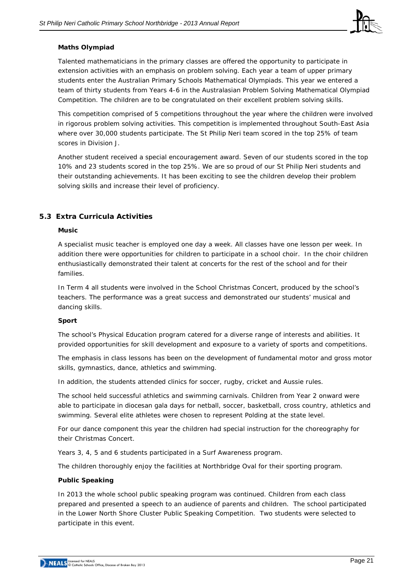

#### **Maths Olympiad**

Talented mathematicians in the primary classes are offered the opportunity to participate in extension activities with an emphasis on problem solving. Each year a team of upper primary students enter the Australian Primary Schools Mathematical Olympiads. This year we entered a team of thirty students from Years 4-6 in the Australasian Problem Solving Mathematical Olympiad Competition. The children are to be congratulated on their excellent problem solving skills.

This competition comprised of 5 competitions throughout the year where the children were involved in rigorous problem solving activities. This competition is implemented throughout South-East Asia where over 30,000 students participate. The St Philip Neri team scored in the top 25% of team scores in Division J.

Another student received a special encouragement award. Seven of our students scored in the top 10% and 23 students scored in the top 25%. We are so proud of our St Philip Neri students and their outstanding achievements. It has been exciting to see the children develop their problem solving skills and increase their level of proficiency.

#### **5.3 Extra Curricula Activities**

#### **Music**

A specialist music teacher is employed one day a week. All classes have one lesson per week. In addition there were opportunities for children to participate in a school choir. In the choir children enthusiastically demonstrated their talent at concerts for the rest of the school and for their families.

In Term 4 all students were involved in the School Christmas Concert, produced by the school's teachers. The performance was a great success and demonstrated our students' musical and dancing skills.

#### **Sport**

The school's Physical Education program catered for a diverse range of interests and abilities. It provided opportunities for skill development and exposure to a variety of sports and competitions.

The emphasis in class lessons has been on the development of fundamental motor and gross motor skills, gymnastics, dance, athletics and swimming.

In addition, the students attended clinics for soccer, rugby, cricket and Aussie rules.

The school held successful athletics and swimming carnivals. Children from Year 2 onward were able to participate in diocesan gala days for netball, soccer, basketball, cross country, athletics and swimming. Several elite athletes were chosen to represent Polding at the state level.

For our dance component this year the children had special instruction for the choreography for their Christmas Concert.

Years 3, 4, 5 and 6 students participated in a Surf Awareness program.

The children thoroughly enjoy the facilities at Northbridge Oval for their sporting program.

#### **Public Speaking**

In 2013 the whole school public speaking program was continued. Children from each class prepared and presented a speech to an audience of parents and children. The school participated in the Lower North Shore Cluster Public Speaking Competition. Two students were selected to participate in this event.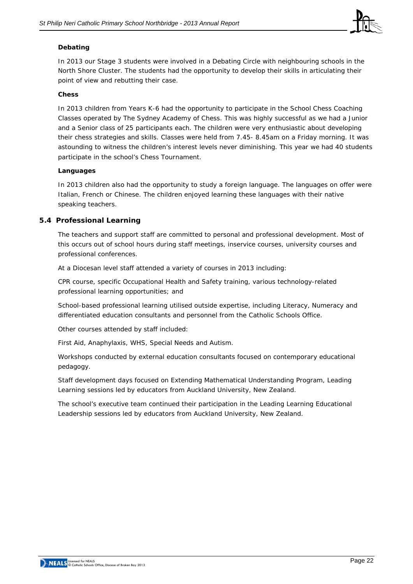

#### **Debating**

In 2013 our Stage 3 students were involved in a Debating Circle with neighbouring schools in the North Shore Cluster. The students had the opportunity to develop their skills in articulating their point of view and rebutting their case.

#### **Chess**

In 2013 children from Years K-6 had the opportunity to participate in the School Chess Coaching Classes operated by The Sydney Academy of Chess. This was highly successful as we had a Junior and a Senior class of 25 participants each. The children were very enthusiastic about developing their chess strategies and skills. Classes were held from 7.45- 8.45am on a Friday morning. It was astounding to witness the children's interest levels never diminishing. This year we had 40 students participate in the school's Chess Tournament.

#### **Languages**

In 2013 children also had the opportunity to study a foreign language. The languages on offer were Italian, French or Chinese. The children enjoyed learning these languages with their native speaking teachers.

#### **5.4 Professional Learning**

The teachers and support staff are committed to personal and professional development. Most of this occurs out of school hours during staff meetings, inservice courses, university courses and professional conferences.

At a Diocesan level staff attended a variety of courses in 2013 including:

CPR course, specific Occupational Health and Safety training, various technology-related professional learning opportunities; and

School-based professional learning utilised outside expertise, including Literacy, Numeracy and differentiated education consultants and personnel from the Catholic Schools Office.

Other courses attended by staff included:

First Aid, Anaphylaxis, WHS, Special Needs and Autism.

Workshops conducted by external education consultants focused on contemporary educational pedagogy.

Staff development days focused on Extending Mathematical Understanding Program, Leading Learning sessions led by educators from Auckland University, New Zealand.

The school's executive team continued their participation in the Leading Learning Educational Leadership sessions led by educators from Auckland University, New Zealand.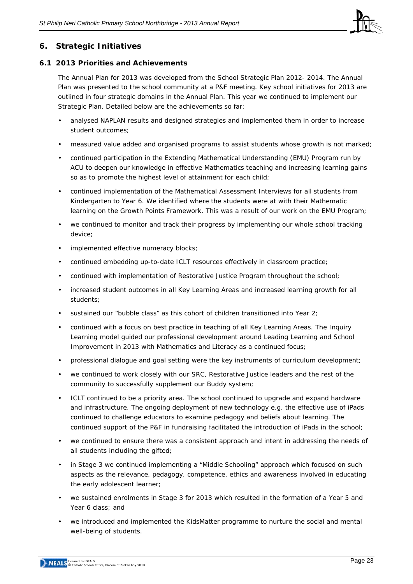

## **6. Strategic Initiatives**

#### **6.1 2013 Priorities and Achievements**

The Annual Plan for 2013 was developed from the School Strategic Plan 2012- 2014. The Annual Plan was presented to the school community at a P&F meeting. Key school initiatives for 2013 are outlined in four strategic domains in the Annual Plan. This year we continued to implement our Strategic Plan. Detailed below are the achievements so far:

- analysed NAPLAN results and designed strategies and implemented them in order to increase student outcomes;
- measured value added and organised programs to assist students whose growth is not marked;
- continued participation in the Extending Mathematical Understanding (EMU) Program run by ACU to deepen our knowledge in effective Mathematics teaching and increasing learning gains so as to promote the highest level of attainment for each child;
- continued implementation of the Mathematical Assessment Interviews for all students from Kindergarten to Year 6. We identified where the students were at with their Mathematic learning on the Growth Points Framework. This was a result of our work on the EMU Program;
- we continued to monitor and track their progress by implementing our whole school tracking device;
- implemented effective numeracy blocks;
- continued embedding up-to-date ICLT resources effectively in classroom practice;
- continued with implementation of Restorative Justice Program throughout the school;
- increased student outcomes in all Key Learning Areas and increased learning growth for all students;
- sustained our "bubble class" as this cohort of children transitioned into Year 2;
- continued with a focus on best practice in teaching of all Key Learning Areas. The Inquiry Learning model guided our professional development around Leading Learning and School Improvement in 2013 with Mathematics and Literacy as a continued focus;
- professional dialogue and goal setting were the key instruments of curriculum development;
- we continued to work closely with our SRC, Restorative Justice leaders and the rest of the community to successfully supplement our Buddy system;
- ICLT continued to be a priority area. The school continued to upgrade and expand hardware and infrastructure. The ongoing deployment of new technology e.g. the effective use of iPads continued to challenge educators to examine pedagogy and beliefs about learning. The continued support of the P&F in fundraising facilitated the introduction of iPads in the school;
- we continued to ensure there was a consistent approach and intent in addressing the needs of all students including the gifted;
- in Stage 3 we continued implementing a "Middle Schooling" approach which focused on such aspects as the relevance, pedagogy, competence, ethics and awareness involved in educating the early adolescent learner;
- we sustained enrolments in Stage 3 for 2013 which resulted in the formation of a Year 5 and Year 6 class; and
- we introduced and implemented the KidsMatter programme to nurture the social and mental well-being of students.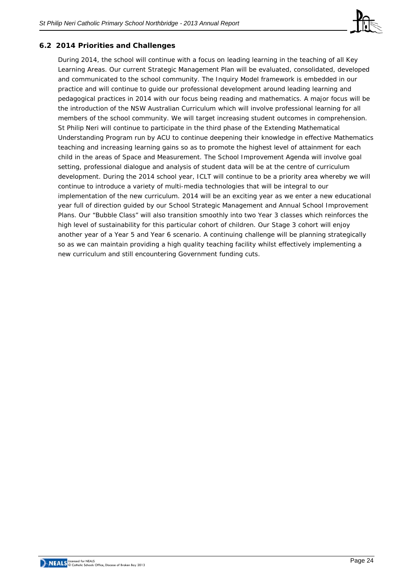

## **6.2 2014 Priorities and Challenges**

During 2014, the school will continue with a focus on leading learning in the teaching of all Key Learning Areas. Our current Strategic Management Plan will be evaluated, consolidated, developed and communicated to the school community. The Inquiry Model framework is embedded in our practice and will continue to guide our professional development around leading learning and pedagogical practices in 2014 with our focus being reading and mathematics. A major focus will be the introduction of the NSW Australian Curriculum which will involve professional learning for all members of the school community. We will target increasing student outcomes in comprehension. St Philip Neri will continue to participate in the third phase of the Extending Mathematical Understanding Program run by ACU to continue deepening their knowledge in effective Mathematics teaching and increasing learning gains so as to promote the highest level of attainment for each child in the areas of Space and Measurement. The School Improvement Agenda will involve goal setting, professional dialogue and analysis of student data will be at the centre of curriculum development. During the 2014 school year, ICLT will continue to be a priority area whereby we will continue to introduce a variety of multi-media technologies that will be integral to our implementation of the new curriculum. 2014 will be an exciting year as we enter a new educational year full of direction guided by our School Strategic Management and Annual School Improvement Plans. Our "Bubble Class" will also transition smoothly into two Year 3 classes which reinforces the high level of sustainability for this particular cohort of children. Our Stage 3 cohort will enjoy another year of a Year 5 and Year 6 scenario. A continuing challenge will be planning strategically so as we can maintain providing a high quality teaching facility whilst effectively implementing a new curriculum and still encountering Government funding cuts.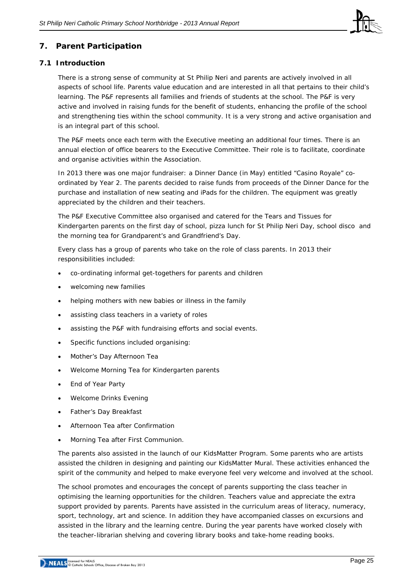

## **7. Parent Participation**

#### **7.1 Introduction**

There is a strong sense of community at St Philip Neri and parents are actively involved in all aspects of school life. Parents value education and are interested in all that pertains to their child's learning. The P&F represents all families and friends of students at the school. The P&F is very active and involved in raising funds for the benefit of students, enhancing the profile of the school and strengthening ties within the school community. It is a very strong and active organisation and is an integral part of this school.

The P&F meets once each term with the Executive meeting an additional four times. There is an annual election of office bearers to the Executive Committee. Their role is to facilitate, coordinate and organise activities within the Association.

In 2013 there was one major fundraiser: a Dinner Dance (in May) entitled "Casino Royale" coordinated by Year 2. The parents decided to raise funds from proceeds of the Dinner Dance for the purchase and installation of new seating and iPads for the children. The equipment was greatly appreciated by the children and their teachers.

The P&F Executive Committee also organised and catered for the Tears and Tissues for Kindergarten parents on the first day of school, pizza lunch for St Philip Neri Day, school disco and the morning tea for Grandparent's and Grandfriend's Day.

Every class has a group of parents who take on the role of class parents. In 2013 their responsibilities included:

- co-ordinating informal get-togethers for parents and children
- welcoming new families
- helping mothers with new babies or illness in the family
- assisting class teachers in a variety of roles
- assisting the P&F with fundraising efforts and social events.
- Specific functions included organising:
- Mother's Day Afternoon Tea
- Welcome Morning Tea for Kindergarten parents
- End of Year Party
- Welcome Drinks Evening
- Father's Day Breakfast
- Afternoon Tea after Confirmation
- Morning Tea after First Communion.

The parents also assisted in the launch of our KidsMatter Program. Some parents who are artists assisted the children in designing and painting our KidsMatter Mural. These activities enhanced the spirit of the community and helped to make everyone feel very welcome and involved at the school.

The school promotes and encourages the concept of parents supporting the class teacher in optimising the learning opportunities for the children. Teachers value and appreciate the extra support provided by parents. Parents have assisted in the curriculum areas of literacy, numeracy, sport, technology, art and science. In addition they have accompanied classes on excursions and assisted in the library and the learning centre. During the year parents have worked closely with the teacher-librarian shelving and covering library books and take-home reading books.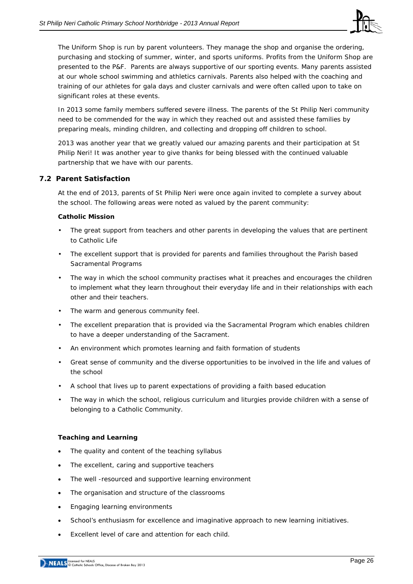

The Uniform Shop is run by parent volunteers. They manage the shop and organise the ordering, purchasing and stocking of summer, winter, and sports uniforms. Profits from the Uniform Shop are presented to the P&F. Parents are always supportive of our sporting events. Many parents assisted at our whole school swimming and athletics carnivals. Parents also helped with the coaching and training of our athletes for gala days and cluster carnivals and were often called upon to take on significant roles at these events.

In 2013 some family members suffered severe illness. The parents of the St Philip Neri community need to be commended for the way in which they reached out and assisted these families by preparing meals, minding children, and collecting and dropping off children to school.

2013 was another year that we greatly valued our amazing parents and their participation at St Philip Neri! It was another year to give thanks for being blessed with the continued valuable partnership that we have with our parents.

#### **7.2 Parent Satisfaction**

At the end of 2013, parents of St Philip Neri were once again invited to complete a survey about the school. The following areas were noted as valued by the parent community:

#### **Catholic Mission**

- The great support from teachers and other parents in developing the values that are pertinent to Catholic Life
- The excellent support that is provided for parents and families throughout the Parish based Sacramental Programs
- The way in which the school community practises what it preaches and encourages the children to implement what they learn throughout their everyday life and in their relationships with each other and their teachers.
- The warm and generous community feel.
- The excellent preparation that is provided via the Sacramental Program which enables children to have a deeper understanding of the Sacrament.
- An environment which promotes learning and faith formation of students
- Great sense of community and the diverse opportunities to be involved in the life and values of the school
- A school that lives up to parent expectations of providing a faith based education
- The way in which the school, religious curriculum and liturgies provide children with a sense of belonging to a Catholic Community.

#### **Teaching and Learning**

- The quality and content of the teaching syllabus
- The excellent, caring and supportive teachers
- The well -resourced and supportive learning environment
- The organisation and structure of the classrooms
- Engaging learning environments
- School's enthusiasm for excellence and imaginative approach to new learning initiatives.
- Excellent level of care and attention for each child.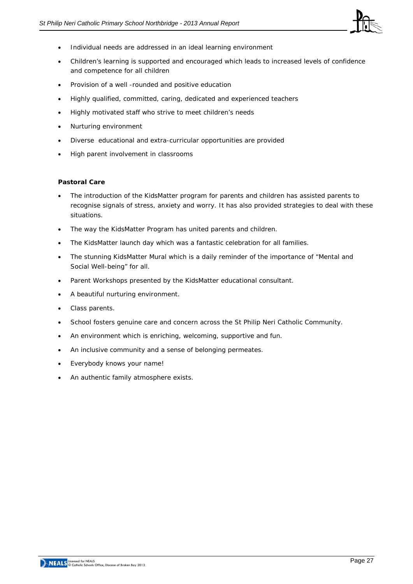

- Individual needs are addressed in an ideal learning environment
- Children's learning is supported and encouraged which leads to increased levels of confidence and competence for all children
- Provision of a well -rounded and positive education
- Highly qualified, committed, caring, dedicated and experienced teachers
- Highly motivated staff who strive to meet children's needs
- Nurturing environment
- Diverse educational and extra-curricular opportunities are provided
- High parent involvement in classrooms

#### **Pastoral Care**

- The introduction of the KidsMatter program for parents and children has assisted parents to recognise signals of stress, anxiety and worry. It has also provided strategies to deal with these situations.
- The way the KidsMatter Program has united parents and children.
- The KidsMatter launch day which was a fantastic celebration for all families.
- The stunning KidsMatter Mural which is a daily reminder of the importance of "Mental and Social Well-being" for all.
- Parent Workshops presented by the KidsMatter educational consultant.
- A beautiful nurturing environment.
- Class parents.
- School fosters genuine care and concern across the St Philip Neri Catholic Community.
- An environment which is enriching, welcoming, supportive and fun.
- An inclusive community and a sense of belonging permeates.
- Everybody knows your name!
- An authentic family atmosphere exists.